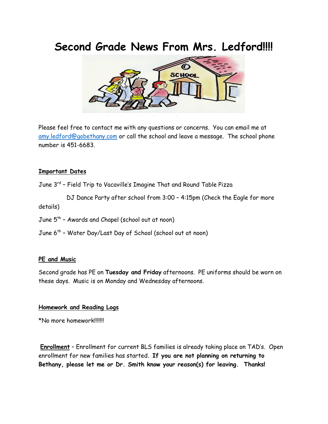## **Second Grade News From Mrs. Ledford!!!!**



Please feel free to contact me with any questions o[r concern](https://creativecommons.org/licenses/by-nd/3.0/)s. You can email me at [amy.ledford@gobethany.com](mailto:amy.ledford@gobethany.com) or call the school and leave a message. The school phone number is 451-6683.

## **Important Dates**

June 3rd – Field Trip to Vacaville's Imagine That and Round Table Pizza

 DJ Dance Party after school from 3:00 – 4:15pm (Check the Eagle for more details)

- June 5<sup>th</sup> Awards and Chapel (school out at noon)
- June 6<sup>th</sup> Water Day/Last Day of School (school out at noon)

## **PE and Music**

Second grade has PE on **Tuesday and Friday** afternoons. PE uniforms should be worn on these days. Music is on Monday and Wednesday afternoons.

## **Homework and Reading Logs**

\*No more homework!!!!!!!

**Enrollment** – Enrollment for current BLS families is already taking place on TAD's. Open enrollment for new families has started. **If you are not planning on returning to Bethany, please let me or Dr. Smith know your reason(s) for leaving. Thanks!**